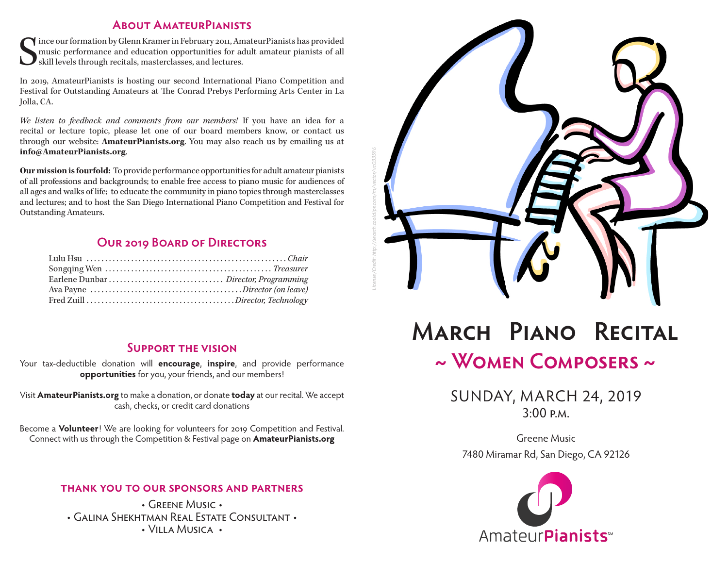#### **About AmateurPianists**

S ince our formation by Glenn Kramer in February 2011, AmateurPianists has provided music performance and education opportunities for adult amateur pianists of all skill levels through recitals, masterclasses, and lectures.

In 2019, AmateurPianists is hosting our second International Piano Competition and Festival for Outstanding Amateurs at The Conrad Prebys Performing Arts Center in La Jolla, CA.

*We listen to feedback and comments from our members!* If you have an idea for a recital or lecture topic, please let one of our board members know, or contact us through our website: **AmateurPianists.org**. You may also reach us by emailing us at **info@AmateurPianists.org**.

**Our mission is fourfold:** To provide performance opportunities for adult amateur pianists of all professions and backgrounds; to enable free access to piano music for audiences of all ages and walks of life; to educate the community in piano topics through masterclasses and lectures; and to host the San Diego International Piano Competition and Festival for Outstanding Amateurs.

### **Our 2019 Board of Directors**

#### **Support the vision**

Your tax-deductible donation will **encourage**, **inspire**, and provide performance **opportunities** for you, your friends, and our members!

Visit **AmateurPianists.org** to make a donation, or donate **today** at our recital. We accept cash, checks, or credit card donations

Become a **Volunteer**! We are looking for volunteers for 2019 Competition and Festival. Connect with us through the Competition & Festival page on **AmateurPianists.org**

#### **thank you to our sponsors and partners**

• Greene Music • • Galina Shekhtman Real Estate Consultant • • Villa Musica •



# **March Piano Recital ~ Women Composers ~**

SUNDAY, MARCH 24, 2019  $3.00 P M$ 

Greene Music 7480 Miramar Rd, San Diego, CA 92126